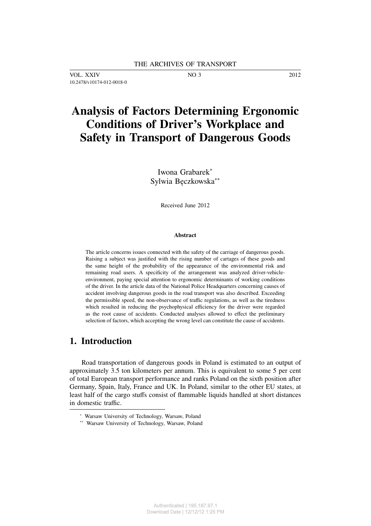VOL. XXIV NO 3 2012 10.2478/v10174-012-0018-0

# **Analysis of Factors Determining Ergonomic Conditions of Driver's Workplace and Safety in Transport of Dangerous Goods**

Iwona Grabarek<sup>∗</sup> Sylwia Bęczkowska∗∗

Received June 2012

#### **Abstract**

The article concerns issues connected with the safety of the carriage of dangerous goods. Raising a subject was justified with the rising number of cartages of these goods and the same height of the probability of the appearance of the environmental risk and remaining road users. A specificity of the arrangement was analyzed driver-vehicleenvironment, paying special attention to ergonomic determinants of working conditions of the driver. In the article data of the National Police Headquarters concerning causes of accident involving dangerous goods in the road transport was also described. Exceeding the permissible speed, the non-observance of traffic regulations, as well as the tiredness which resulted in reducing the psychophysical efficiency for the driver were regarded as the root cause of accidents. Conducted analyses allowed to effect the preliminary selection of factors, which accepting the wrong level can constitute the cause of accidents.

## **1. Introduction**

Road transportation of dangerous goods in Poland is estimated to an output of approximately 3.5 ton kilometers per annum. This is equivalent to some 5 per cent of total European transport performance and ranks Poland on the sixth position after Germany, Spain, Italy, France and UK. In Poland, similar to the other EU states, at least half of the cargo stuffs consist of flammable liquids handled at short distances in domestic traffic.

<sup>∗</sup> Warsaw University of Technology, Warsaw, Poland

<sup>∗∗</sup> Warsaw University of Technology, Warsaw, Poland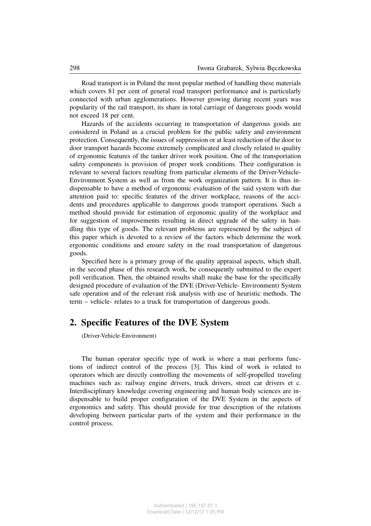Road transport is in Poland the most popular method of handling these materials which covers 81 per cent of general road transport performance and is particularly connected with urban agglomerations. However growing during recent years was popularity of the rail transport, its share in total carriage of dangerous goods would not exceed 18 per cent.

Hazards of the accidents occurring in transportation of dangerous goods are considered in Poland as a crucial problem for the public safety and environment protection. Consequently, the issues of suppression or at least reduction of the door to door transport hazards become extremely complicated and closely related to quality of ergonomic features of the tanker driver work position. One of the transportation safety components is provision of proper work conditions. Their configuration is relevant to several factors resulting from particular elements of the Driver-Vehicle-Environment System as well as from the work organization pattern. It is thus indispensable to have a method of ergonomic evaluation of the said system with due attention paid to: specific features of the driver workplace, reasons of the accidents and procedures applicable to dangerous goods transport operations. Such a method should provide for estimation of ergonomic quality of the workplace and for suggestion of improvements resulting in direct upgrade of the safety in handling this type of goods. The relevant problems are represented by the subject of this paper which is devoted to a review of the factors which determine the work ergonomic conditions and ensure safety in the road transportation of dangerous goods.

Specified here is a primary group of the quality appraisal aspects, which shall, in the second phase of this research work, be consequently submitted to the expert poll verification. Then, the obtained results shall make the base for the specifically designed procedure of evaluation of the DVE (Driver-Vehicle- Environment) System safe operation and of the relevant risk analysis with use of heuristic methods. The term – vehicle- relates to a truck for transportation of dangerous goods.

## **2. Specific Features of the DVE System**

(Driver-Vehicle-Environment)

The human operator specific type of work is where a man performs functions of indirect control of the process [3]. This kind of work is related to operators which are directly controlling the movements of self-propelled traveling machines such as: railway engine drivers, truck drivers, street car drivers et c. Interdisciplinary knowledge covering engineering and human body sciences are indispensable to build proper configuration of the DVE System in the aspects of ergonomics and safety. This should provide for true description of the relations developing between particular parts of the system and their performance in the control process.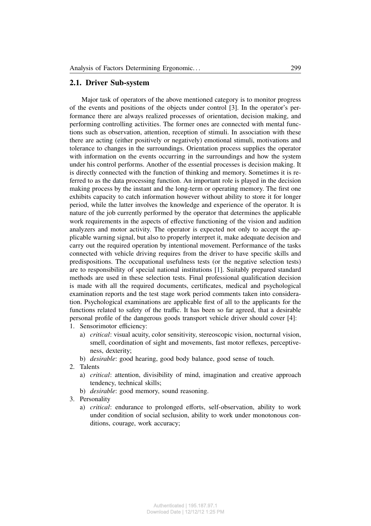## **2.1. Driver Sub-system**

Major task of operators of the above mentioned category is to monitor progress of the events and positions of the objects under control [3]. In the operator's performance there are always realized processes of orientation, decision making, and performing controlling activities. The former ones are connected with mental functions such as observation, attention, reception of stimuli. In association with these there are acting (either positively or negatively) emotional stimuli, motivations and tolerance to changes in the surroundings. Orientation process supplies the operator with information on the events occurring in the surroundings and how the system under his control performs. Another of the essential processes is decision making. It is directly connected with the function of thinking and memory. Sometimes it is referred to as the data processing function. An important role is played in the decision making process by the instant and the long-term or operating memory. The first one exhibits capacity to catch information however without ability to store it for longer period, while the latter involves the knowledge and experience of the operator. It is nature of the job currently performed by the operator that determines the applicable work requirements in the aspects of effective functioning of the vision and audition analyzers and motor activity. The operator is expected not only to accept the applicable warning signal, but also to properly interpret it, make adequate decision and carry out the required operation by intentional movement. Performance of the tasks connected with vehicle driving requires from the driver to have specific skills and predispositions. The occupational usefulness tests (or the negative selection tests) are to responsibility of special national institutions [1]. Suitably prepared standard methods are used in these selection tests. Final professional qualification decision is made with all the required documents, certificates, medical and psychological examination reports and the test stage work period comments taken into consideration. Psychological examinations are applicable first of all to the applicants for the functions related to safety of the traffic. It has been so far agreed, that a desirable personal profile of the dangerous goods transport vehicle driver should cover [4]:

- 1. Sensorimotor efficiency:
	- a) *critical*: visual acuity, color sensitivity, stereoscopic vision, nocturnal vision, smell, coordination of sight and movements, fast motor reflexes, perceptiveness, dexterity;
	- b) *desirable*: good hearing, good body balance, good sense of touch.
- 2. Talents
	- a) *critical*: attention, divisibility of mind, imagination and creative approach tendency, technical skills;
	- b) *desirable*: good memory, sound reasoning.
- 3. Personality
	- a) *critical*: endurance to prolonged efforts, self-observation, ability to work under condition of social seclusion, ability to work under monotonous conditions, courage, work accuracy;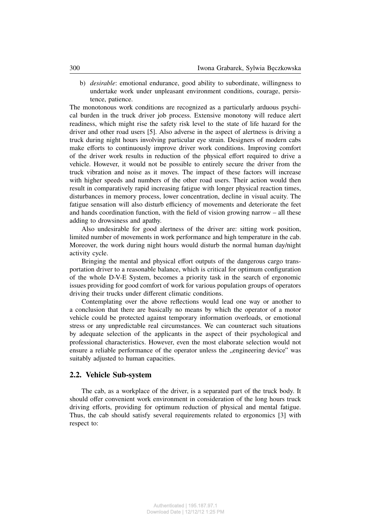b) *desirable*: emotional endurance, good ability to subordinate, willingness to undertake work under unpleasant environment conditions, courage, persistence, patience.

The monotonous work conditions are recognized as a particularly arduous psychical burden in the truck driver job process. Extensive monotony will reduce alert readiness, which might rise the safety risk level to the state of life hazard for the driver and other road users [5]. Also adverse in the aspect of alertness is driving a truck during night hours involving particular eye strain. Designers of modern cabs make efforts to continuously improve driver work conditions. Improving comfort of the driver work results in reduction of the physical effort required to drive a vehicle. However, it would not be possible to entirely secure the driver from the truck vibration and noise as it moves. The impact of these factors will increase with higher speeds and numbers of the other road users. Their action would then result in comparatively rapid increasing fatigue with longer physical reaction times, disturbances in memory process, lower concentration, decline in visual acuity. The fatigue sensation will also disturb efficiency of movements and deteriorate the feet and hands coordination function, with the field of vision growing narrow – all these adding to drowsiness and apathy.

Also undesirable for good alertness of the driver are: sitting work position, limited number of movements in work performance and high temperature in the cab. Moreover, the work during night hours would disturb the normal human day/night activity cycle.

Bringing the mental and physical effort outputs of the dangerous cargo transportation driver to a reasonable balance, which is critical for optimum configuration of the whole D-V-E System, becomes a priority task in the search of ergonomic issues providing for good comfort of work for various population groups of operators driving their trucks under different climatic conditions.

Contemplating over the above reflections would lead one way or another to a conclusion that there are basically no means by which the operator of a motor vehicle could be protected against temporary information overloads, or emotional stress or any unpredictable real circumstances. We can counteract such situations by adequate selection of the applicants in the aspect of their psychological and professional characteristics. However, even the most elaborate selection would not ensure a reliable performance of the operator unless the "engineering device" was suitably adjusted to human capacities.

#### **2.2. Vehicle Sub-system**

The cab, as a workplace of the driver, is a separated part of the truck body. It should offer convenient work environment in consideration of the long hours truck driving efforts, providing for optimum reduction of physical and mental fatigue. Thus, the cab should satisfy several requirements related to ergonomics [3] with respect to: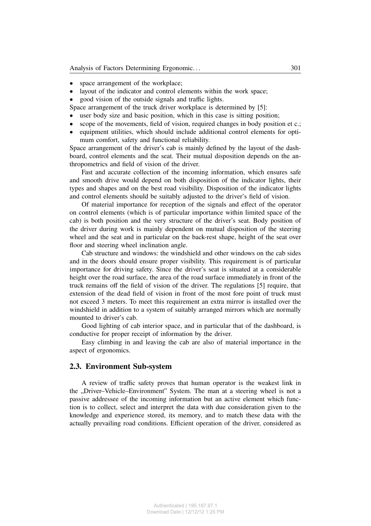- space arrangement of the workplace;
- layout of the indicator and control elements within the work space;
- good vision of the outside signals and traffic lights.
- Space arrangement of the truck driver workplace is determined by [5]:
- user body size and basic position, which in this case is sitting position;
- scope of the movements, field of vision, required changes in body position et c.;
- equipment utilities, which should include additional control elements for optimum comfort, safety and functional reliability.

Space arrangement of the driver's cab is mainly defined by the layout of the dashboard, control elements and the seat. Their mutual disposition depends on the anthropometrics and field of vision of the driver.

Fast and accurate collection of the incoming information, which ensures safe and smooth drive would depend on both disposition of the indicator lights, their types and shapes and on the best road visibility. Disposition of the indicator lights and control elements should be suitably adjusted to the driver's field of vision.

Of material importance for reception of the signals and effect of the operator on control elements (which is of particular importance within limited space of the cab) is both position and the very structure of the driver's seat. Body position of the driver during work is mainly dependent on mutual disposition of the steering wheel and the seat and in particular on the back-rest shape, height of the seat over floor and steering wheel inclination angle.

Cab structure and windows: the windshield and other windows on the cab sides and in the doors should ensure proper visibility. This requirement is of particular importance for driving safety. Since the driver's seat is situated at a considerable height over the road surface, the area of the road surface immediately in front of the truck remains off the field of vision of the driver. The regulations [5] require, that extension of the dead field of vision in front of the most fore point of truck must not exceed 3 meters. To meet this requirement an extra mirror is installed over the windshield in addition to a system of suitably arranged mirrors which are normally mounted to driver's cab.

Good lighting of cab interior space, and in particular that of the dashboard, is conductive for proper receipt of information by the driver.

Easy climbing in and leaving the cab are also of material importance in the aspect of ergonomics.

## **2.3. Environment Sub-system**

A review of traffic safety proves that human operator is the weakest link in the "Driver–Vehicle–Environment" System. The man at a steering wheel is not a passive addressee of the incoming information but an active element which function is to collect, select and interpret the data with due consideration given to the knowledge and experience stored, its memory, and to match these data with the actually prevailing road conditions. Efficient operation of the driver, considered as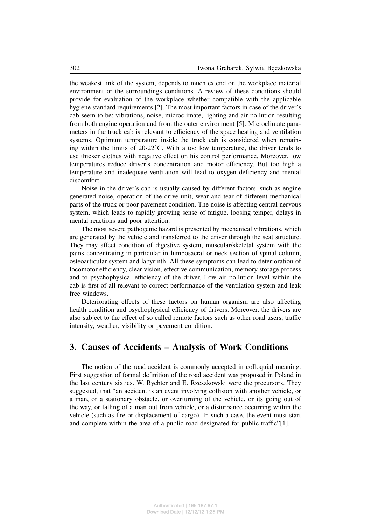the weakest link of the system, depends to much extend on the workplace material environment or the surroundings conditions. A review of these conditions should provide for evaluation of the workplace whether compatible with the applicable hygiene standard requirements [2]. The most important factors in case of the driver's cab seem to be: vibrations, noise, microclimate, lighting and air pollution resulting from both engine operation and from the outer environment [5]. Microclimate parameters in the truck cab is relevant to efficiency of the space heating and ventilation systems. Optimum temperature inside the truck cab is considered when remaining within the limits of 20-22◦C. With a too low temperature, the driver tends to use thicker clothes with negative effect on his control performance. Moreover, low temperatures reduce driver's concentration and motor efficiency. But too high a temperature and inadequate ventilation will lead to oxygen deficiency and mental discomfort.

Noise in the driver's cab is usually caused by different factors, such as engine generated noise, operation of the drive unit, wear and tear of different mechanical parts of the truck or poor pavement condition. The noise is affecting central nervous system, which leads to rapidly growing sense of fatigue, loosing temper, delays in mental reactions and poor attention.

The most severe pathogenic hazard is presented by mechanical vibrations, which are generated by the vehicle and transferred to the driver through the seat structure. They may affect condition of digestive system, muscular/skeletal system with the pains concentrating in particular in lumbosacral or neck section of spinal column, osteoarticular system and labyrinth. All these symptoms can lead to deterioration of locomotor efficiency, clear vision, effective communication, memory storage process and to psychophysical efficiency of the driver. Low air pollution level within the cab is first of all relevant to correct performance of the ventilation system and leak free windows.

Deteriorating effects of these factors on human organism are also affecting health condition and psychophysical efficiency of drivers. Moreover, the drivers are also subject to the effect of so called remote factors such as other road users, traffic intensity, weather, visibility or pavement condition.

## **3. Causes of Accidents – Analysis of Work Conditions**

The notion of the road accident is commonly accepted in colloquial meaning. First suggestion of formal definition of the road accident was proposed in Poland in the last century sixties. W. Rychter and E. Rzeszkowski were the precursors. They suggested, that "an accident is an event involving collision with another vehicle, or a man, or a stationary obstacle, or overturning of the vehicle, or its going out of the way, or falling of a man out from vehicle, or a disturbance occurring within the vehicle (such as fire or displacement of cargo). In such a case, the event must start and complete within the area of a public road designated for public traffic"[1].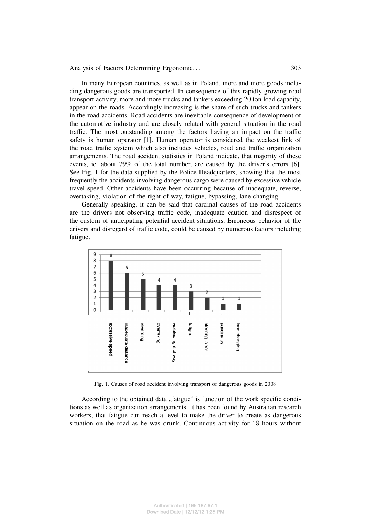In many European countries, as well as in Poland, more and more goods including dangerous goods are transported. In consequence of this rapidly growing road transport activity, more and more trucks and tankers exceeding 20 ton load capacity, appear on the roads. Accordingly increasing is the share of such trucks and tankers in the road accidents. Road accidents are inevitable consequence of development of the automotive industry and are closely related with general situation in the road traffic. The most outstanding among the factors having an impact on the traffic safety is human operator [1]. Human operator is considered the weakest link of the road traffic system which also includes vehicles, road and traffic organization arrangements. The road accident statistics in Poland indicate, that majority of these events, ie. about 79% of the total number, are caused by the driver's errors [6]. See Fig. 1 for the data supplied by the Police Headquarters, showing that the most frequently the accidents involving dangerous cargo were caused by excessive vehicle travel speed. Other accidents have been occurring because of inadequate, reverse, overtaking, violation of the right of way, fatigue, bypassing, lane changing.

Generally speaking, it can be said that cardinal causes of the road accidents are the drivers not observing traffic code, inadequate caution and disrespect of the custom of anticipating potential accident situations. Erroneous behavior of the drivers and disregard of traffic code, could be caused by numerous factors including fatigue.



Fig. 1. Causes of road accident involving transport of dangerous goods in 2008

According to the obtained data "fatigue" is function of the work specific conditions as well as organization arrangements. It has been found by Australian research workers, that fatigue can reach a level to make the driver to create as dangerous situation on the road as he was drunk. Continuous activity for 18 hours without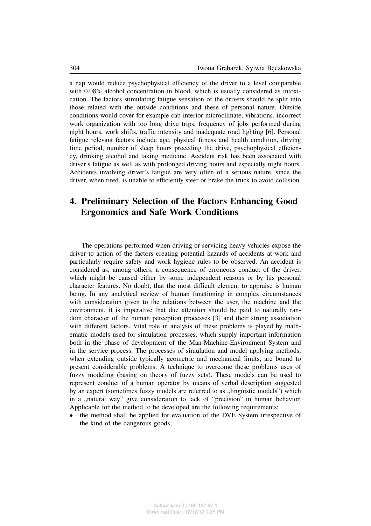a nap would reduce psychophysical efficiency of the driver to a level comparable with 0.08% alcohol concentration in blood, which is usually considered as intoxication. The factors stimulating fatigue sensation of the drivers should be split into those related with the outside conditions and these of personal nature. Outside conditions would cover for example cab interior microclimate, vibrations, incorrect work organization with too long drive trips, frequency of jobs performed during night hours, work shifts, traffic intensity and inadequate road lighting [6]. Personal fatigue relevant factors include age, physical fitness and health condition, driving time period, number of sleep hours preceding the drive, psychophysical efficiency, drinking alcohol and taking medicine. Accident risk has been associated with driver's fatigue as well as with prolonged driving hours and especially night hours. Accidents involving driver's fatigue are very often of a serious nature, since the driver, when tired, is unable to efficiently steer or brake the truck to avoid collision.

# **4. Preliminary Selection of the Factors Enhancing Good Ergonomics and Safe Work Conditions**

The operations performed when driving or servicing heavy vehicles expose the driver to action of the factors creating potential hazards of accidents at work and particularly require safety and work hygiene rules to be observed. An accident is considered as, among others, a consequence of erroneous conduct of the driver, which might be caused either by some independent reasons or by his personal character features. No doubt, that the most difficult element to appraise is human being. In any analytical review of human functioning in complex circumstances with consideration given to the relations between the user, the machine and the environment, it is imperative that due attention should be paid to naturally random character of the human perception processes [3] and their strong association with different factors. Vital role in analysis of these problems is played by mathematic models used for simulation processes, which supply important information both in the phase of development of the Man-Machine-Environment System and in the service process. The processes of simulation and model applying methods, when extending outside typically geometric and mechanical limits, are bound to present considerable problems. A technique to overcome these problems uses of fuzzy modeling (basing on theory of fuzzy sets). These models can be used to represent conduct of a human operator by means of verbal description suggested by an expert (sometimes fuzzy models are referred to as "linguistic models") which in a "natural way" give consideration to lack of "precision" in human behavior. Applicable for the method to be developed are the following requirements:

• the method shall be applied for evaluation of the DVE System irrespective of the kind of the dangerous goods,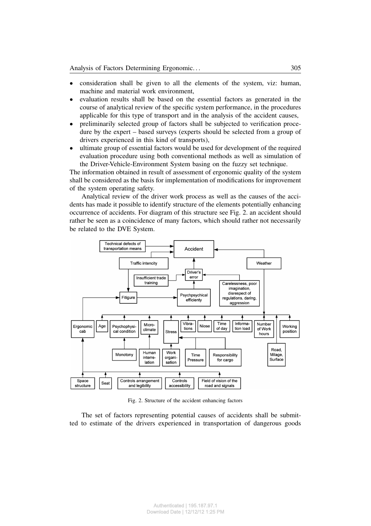- consideration shall be given to all the elements of the system, viz: human, machine and material work environment,
- evaluation results shall be based on the essential factors as generated in the course of analytical review of the specific system performance, in the procedures applicable for this type of transport and in the analysis of the accident causes,
- preliminarily selected group of factors shall be subjected to verification procedure by the expert – based surveys (experts should be selected from a group of drivers experienced in this kind of transports),
- ultimate group of essential factors would be used for development of the required evaluation procedure using both conventional methods as well as simulation of the Driver-Vehicle-Environment System basing on the fuzzy set technique.

The information obtained in result of assessment of ergonomic quality of the system shall be considered as the basis for implementation of modifications for improvement of the system operating safety.

Analytical review of the driver work process as well as the causes of the accidents has made it possible to identify structure of the elements potentially enhancing occurrence of accidents. For diagram of this structure see Fig. 2. an accident should rather be seen as a coincidence of many factors, which should rather not necessarily be related to the DVE System.



Fig. 2. Structure of the accident enhancing factors

The set of factors representing potential causes of accidents shall be submitted to estimate of the drivers experienced in transportation of dangerous goods